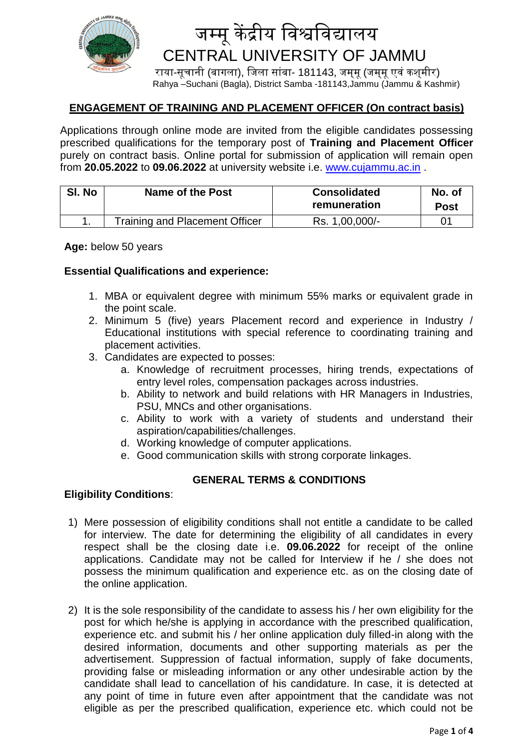

# जम्मू केंद्रीय विश्वविद्यालय CENTRAL UNIVERSITY OF JAMMU

राया-सूचानी (बागला), जिला सांबा- 181143, जम्मू (जम्मू एवं कश्मीर) Rahya –Suchani (Bagla), District Samba -181143,Jammu (Jammu & Kashmir)

## **ENGAGEMENT OF TRAINING AND PLACEMENT OFFICER (On contract basis)**

Applications through online mode are invited from the eligible candidates possessing prescribed qualifications for the temporary post of **Training and Placement Officer** purely on contract basis. Online portal for submission of application will remain open from **20.05.2022** to **09.06.2022** at university website i.e. [www.cujammu.ac.in](http://www.cujammu.ac.in/) .

| SI. No | <b>Name of the Post</b>        | <b>Consolidated</b><br>remuneration | No. of<br><b>Post</b> |
|--------|--------------------------------|-------------------------------------|-----------------------|
|        | Training and Placement Officer | Rs. 1,00,000/-                      | 01                    |

**Age:** below 50 years

### **Essential Qualifications and experience:**

- 1. MBA or equivalent degree with minimum 55% marks or equivalent grade in the point scale.
- 2. Minimum 5 (five) years Placement record and experience in Industry / Educational institutions with special reference to coordinating training and placement activities.
- 3. Candidates are expected to posses:
	- a. Knowledge of recruitment processes, hiring trends, expectations of entry level roles, compensation packages across industries.
	- b. Ability to network and build relations with HR Managers in Industries, PSU, MNCs and other organisations.
	- c. Ability to work with a variety of students and understand their aspiration/capabilities/challenges.
	- d. Working knowledge of computer applications.
	- e. Good communication skills with strong corporate linkages.

## **GENERAL TERMS & CONDITIONS**

### **Eligibility Conditions**:

- 1) Mere possession of eligibility conditions shall not entitle a candidate to be called for interview. The date for determining the eligibility of all candidates in every respect shall be the closing date i.e. **09.06.2022** for receipt of the online applications. Candidate may not be called for Interview if he / she does not possess the minimum qualification and experience etc. as on the closing date of the online application.
- 2) It is the sole responsibility of the candidate to assess his / her own eligibility for the post for which he/she is applying in accordance with the prescribed qualification, experience etc. and submit his / her online application duly filled-in along with the desired information, documents and other supporting materials as per the advertisement. Suppression of factual information, supply of fake documents, providing false or misleading information or any other undesirable action by the candidate shall lead to cancellation of his candidature. In case, it is detected at any point of time in future even after appointment that the candidate was not eligible as per the prescribed qualification, experience etc. which could not be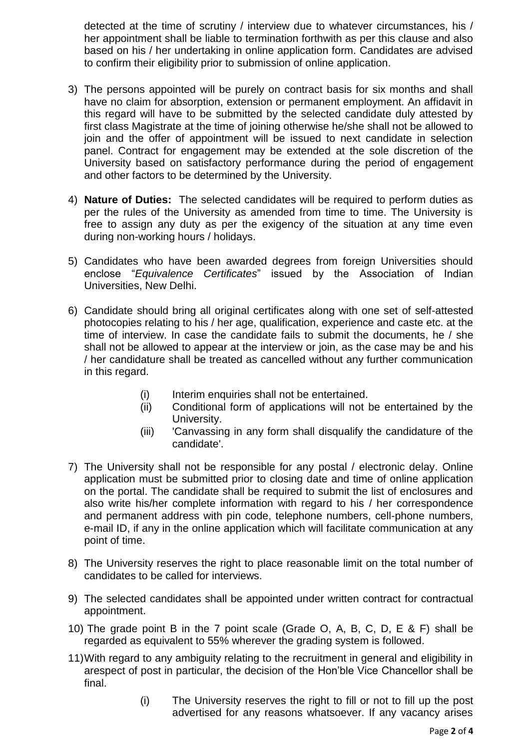detected at the time of scrutiny / interview due to whatever circumstances, his / her appointment shall be liable to termination forthwith as per this clause and also based on his / her undertaking in online application form. Candidates are advised to confirm their eligibility prior to submission of online application.

- 3) The persons appointed will be purely on contract basis for six months and shall have no claim for absorption, extension or permanent employment. An affidavit in this regard will have to be submitted by the selected candidate duly attested by first class Magistrate at the time of joining otherwise he/she shall not be allowed to join and the offer of appointment will be issued to next candidate in selection panel. Contract for engagement may be extended at the sole discretion of the University based on satisfactory performance during the period of engagement and other factors to be determined by the University.
- 4) **Nature of Duties:** The selected candidates will be required to perform duties as per the rules of the University as amended from time to time. The University is free to assign any duty as per the exigency of the situation at any time even during non-working hours / holidays.
- 5) Candidates who have been awarded degrees from foreign Universities should enclose "*Equivalence Certificates*" issued by the Association of Indian Universities, New Delhi.
- 6) Candidate should bring all original certificates along with one set of self-attested photocopies relating to his / her age, qualification, experience and caste etc. at the time of interview. In case the candidate fails to submit the documents, he / she shall not be allowed to appear at the interview or join, as the case may be and his / her candidature shall be treated as cancelled without any further communication in this regard.
	- (i) Interim enquiries shall not be entertained.
	- (ii) Conditional form of applications will not be entertained by the University.
	- (iii) 'Canvassing in any form shall disqualify the candidature of the candidate'.
- 7) The University shall not be responsible for any postal / electronic delay. Online application must be submitted prior to closing date and time of online application on the portal. The candidate shall be required to submit the list of enclosures and also write his/her complete information with regard to his / her correspondence and permanent address with pin code, telephone numbers, cell-phone numbers, e-mail ID, if any in the online application which will facilitate communication at any point of time.
- 8) The University reserves the right to place reasonable limit on the total number of candidates to be called for interviews.
- 9) The selected candidates shall be appointed under written contract for contractual appointment.
- 10) The grade point B in the 7 point scale (Grade O, A, B, C, D, E & F) shall be regarded as equivalent to 55% wherever the grading system is followed.
- 11)With regard to any ambiguity relating to the recruitment in general and eligibility in arespect of post in particular, the decision of the Hon'ble Vice Chancellor shall be final.
	- (i) The University reserves the right to fill or not to fill up the post advertised for any reasons whatsoever. If any vacancy arises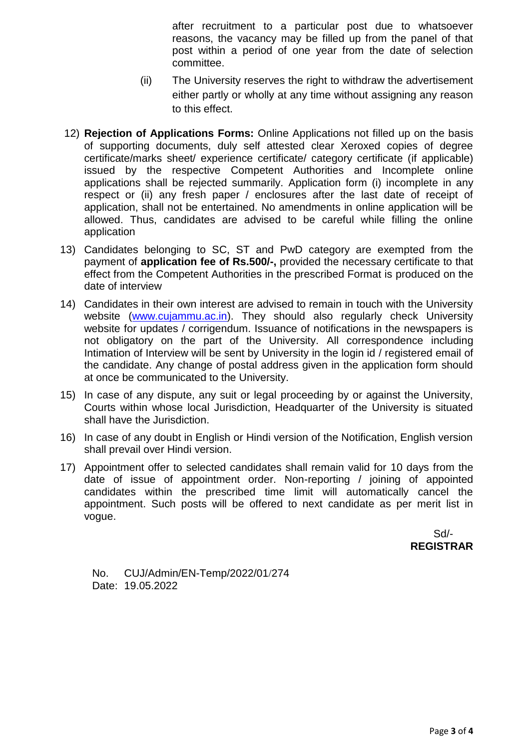after recruitment to a particular post due to whatsoever reasons, the vacancy may be filled up from the panel of that post within a period of one year from the date of selection committee.

- (ii) The University reserves the right to withdraw the advertisement either partly or wholly at any time without assigning any reason to this effect.
- 12) **Rejection of Applications Forms:** Online Applications not filled up on the basis of supporting documents, duly self attested clear Xeroxed copies of degree certificate/marks sheet/ experience certificate/ category certificate (if applicable) issued by the respective Competent Authorities and Incomplete online applications shall be rejected summarily. Application form (i) incomplete in any respect or (ii) any fresh paper / enclosures after the last date of receipt of application, shall not be entertained. No amendments in online application will be allowed. Thus, candidates are advised to be careful while filling the online application
- 13) Candidates belonging to SC, ST and PwD category are exempted from the payment of **application fee of Rs.500/-,** provided the necessary certificate to that effect from the Competent Authorities in the prescribed Format is produced on the date of interview
- 14) Candidates in their own interest are advised to remain in touch with the University website [\(www.cujammu.ac.in\)](http://www.cujammu.ac.in/). They should also regularly check University website for updates / corrigendum. Issuance of notifications in the newspapers is not obligatory on the part of the University. All correspondence including Intimation of Interview will be sent by University in the login id / registered email of the candidate. Any change of postal address given in the application form should at once be communicated to the University.
- 15) In case of any dispute, any suit or legal proceeding by or against the University, Courts within whose local Jurisdiction, Headquarter of the University is situated shall have the Jurisdiction.
- 16) In case of any doubt in English or Hindi version of the Notification, English version shall prevail over Hindi version.
- 17) Appointment offer to selected candidates shall remain valid for 10 days from the date of issue of appointment order. Non-reporting / joining of appointed candidates within the prescribed time limit will automatically cancel the appointment. Such posts will be offered to next candidate as per merit list in vogue.

 Sd/- **REGISTRAR**

No. CUJ/Admin/EN-Temp/2022/01/274 Date: 19.05.2022